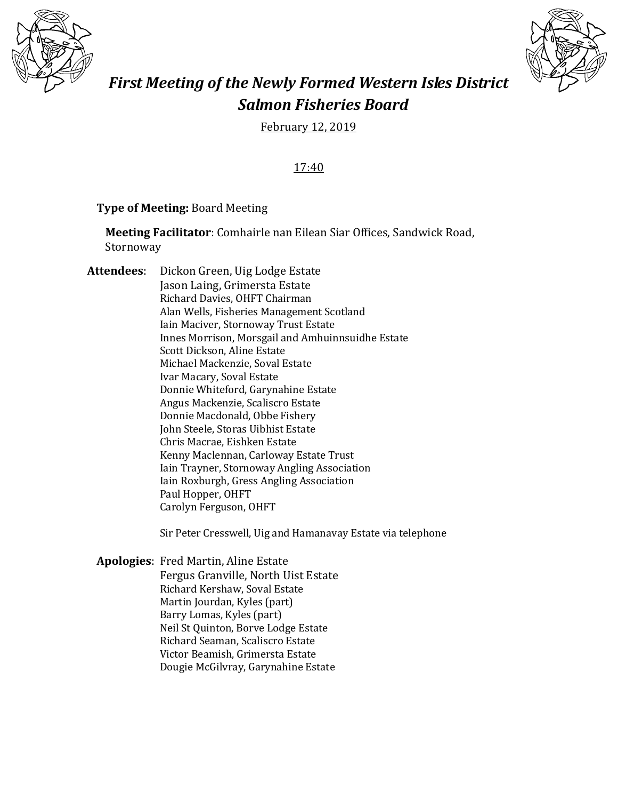



# *First Meeting of the Newly Formed Western Isles District Salmon Fisheries Board*

February 12, 2019

17:40

## **Type of Meeting:** Board Meeting

**Meeting Facilitator**: Comhairle nan Eilean Siar Offices, Sandwick Road, Stornoway

**Attendees**: Dickon Green, Uig Lodge Estate Jason Laing, Grimersta Estate Richard Davies, OHFT Chairman Alan Wells, Fisheries Management Scotland Iain Maciver, Stornoway Trust Estate Innes Morrison, Morsgail and Amhuinnsuidhe Estate Scott Dickson, Aline Estate Michael Mackenzie, Soval Estate Ivar Macary, Soval Estate Donnie Whiteford, Garynahine Estate Angus Mackenzie, Scaliscro Estate Donnie Macdonald, Obbe Fishery John Steele, Storas Uibhist Estate Chris Macrae, Eishken Estate Kenny Maclennan, Carloway Estate Trust Iain Trayner, Stornoway Angling Association Iain Roxburgh, Gress Angling Association Paul Hopper, OHFT Carolyn Ferguson, OHFT

Sir Peter Cresswell, Uig and Hamanavay Estate via telephone

**Apologies**: Fred Martin, Aline Estate Fergus Granville, North Uist Estate Richard Kershaw, Soval Estate Martin Jourdan, Kyles (part) Barry Lomas, Kyles (part) Neil St Quinton, Borve Lodge Estate Richard Seaman, Scaliscro Estate Victor Beamish, Grimersta Estate Dougie McGilvray, Garynahine Estate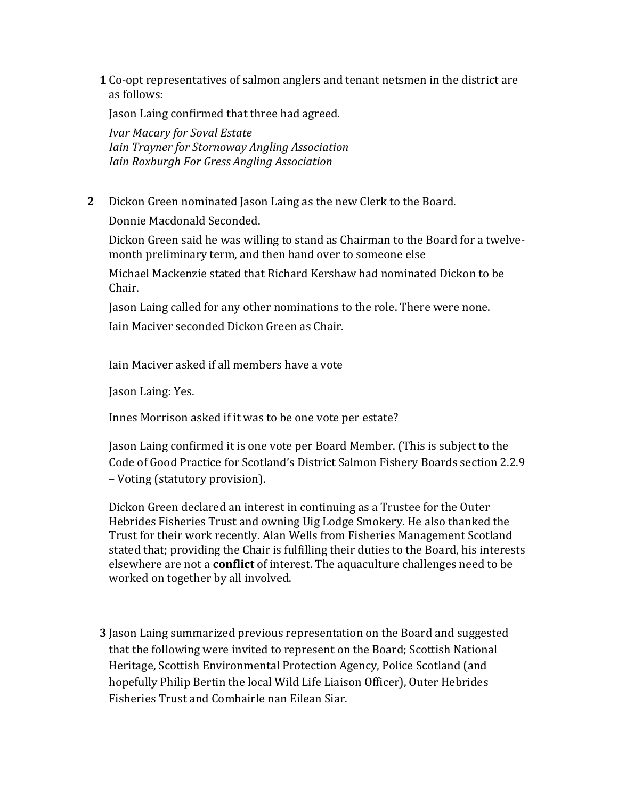**1** Co-opt representatives of salmon anglers and tenant netsmen in the district are as follows:

Jason Laing confirmed that three had agreed.

*Ivar Macary for Soval Estate Iain Trayner for Stornoway Angling Association Iain Roxburgh For Gress Angling Association*

**2** Dickon Green nominated Jason Laing as the new Clerk to the Board. Donnie Macdonald Seconded.

Dickon Green said he was willing to stand as Chairman to the Board for a twelvemonth preliminary term, and then hand over to someone else

Michael Mackenzie stated that Richard Kershaw had nominated Dickon to be Chair.

Jason Laing called for any other nominations to the role. There were none. Iain Maciver seconded Dickon Green as Chair.

Iain Maciver asked if all members have a vote

Jason Laing: Yes.

Innes Morrison asked if it was to be one vote per estate?

Jason Laing confirmed it is one vote per Board Member. (This is subject to the Code of Good Practice for Scotland's District Salmon Fishery Boards section 2.2.9 – Voting (statutory provision).

Dickon Green declared an interest in continuing as a Trustee for the Outer Hebrides Fisheries Trust and owning Uig Lodge Smokery. He also thanked the Trust for their work recently. Alan Wells from Fisheries Management Scotland stated that; providing the Chair is fulfilling their duties to the Board, his interests elsewhere are not a **conflict** of interest. The aquaculture challenges need to be worked on together by all involved.

**3** Jason Laing summarized previous representation on the Board and suggested that the following were invited to represent on the Board; Scottish National Heritage, Scottish Environmental Protection Agency, Police Scotland (and hopefully Philip Bertin the local Wild Life Liaison Officer), Outer Hebrides Fisheries Trust and Comhairle nan Eilean Siar.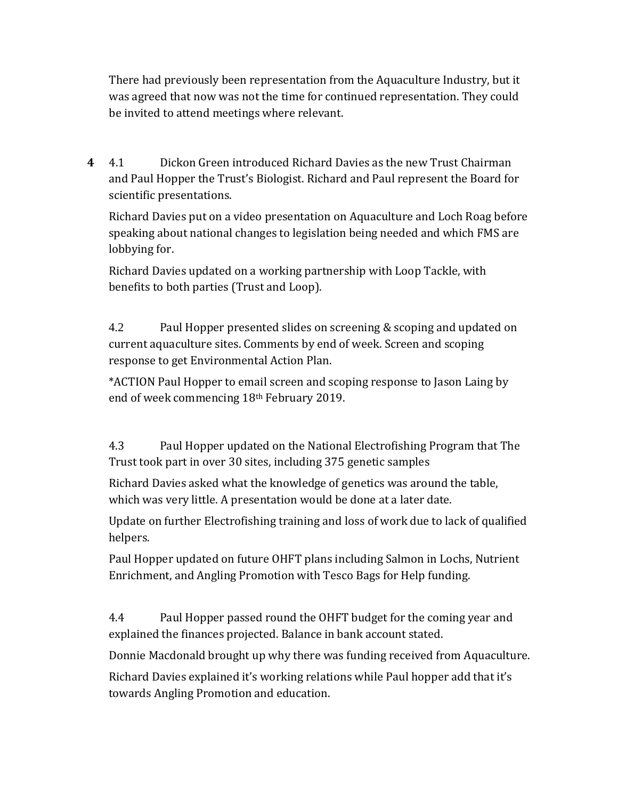There had previously been representation from the Aquaculture Industry, but it was agreed that now was not the time for continued representation. They could be invited to attend meetings where relevant.

**4** 4.1 Dickon Green introduced Richard Davies as the new Trust Chairman and Paul Hopper the Trust's Biologist. Richard and Paul represent the Board for scientific presentations.

Richard Davies put on a video presentation on Aquaculture and Loch Roag before speaking about national changes to legislation being needed and which FMS are lobbying for.

Richard Davies updated on a working partnership with Loop Tackle, with benefits to both parties (Trust and Loop).

4.2 Paul Hopper presented slides on screening & scoping and updated on current aquaculture sites. Comments by end of week. Screen and scoping response to get Environmental Action Plan.

\*ACTION Paul Hopper to email screen and scoping response to Jason Laing by end of week commencing 18th February 2019.

4.3 Paul Hopper updated on the National Electrofishing Program that The Trust took part in over 30 sites, including 375 genetic samples

Richard Davies asked what the knowledge of genetics was around the table, which was very little. A presentation would be done at a later date.

Update on further Electrofishing training and loss of work due to lack of qualified helpers.

Paul Hopper updated on future OHFT plans including Salmon in Lochs, Nutrient Enrichment, and Angling Promotion with Tesco Bags for Help funding.

4.4 Paul Hopper passed round the OHFT budget for the coming year and explained the finances projected. Balance in bank account stated.

Donnie Macdonald brought up why there was funding received from Aquaculture.

Richard Davies explained it's working relations while Paul hopper add that it's towards Angling Promotion and education.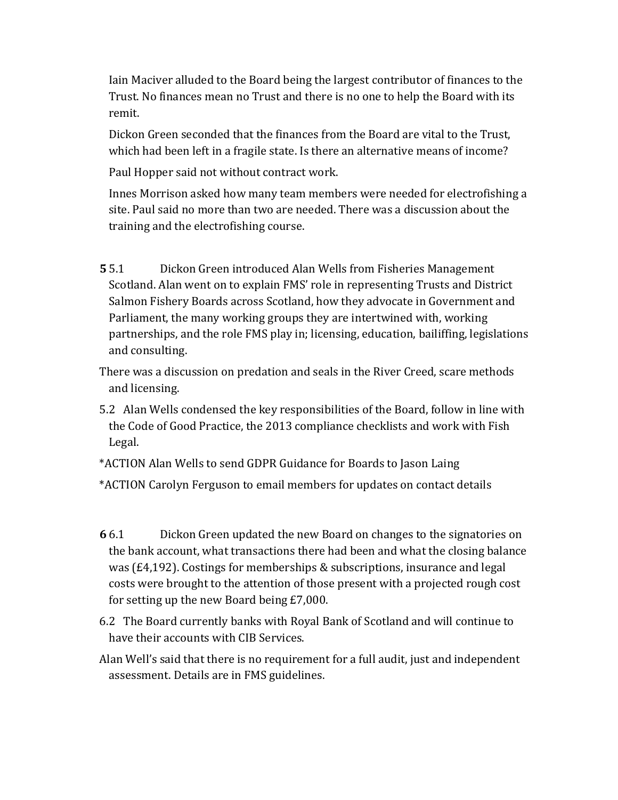Iain Maciver alluded to the Board being the largest contributor of finances to the Trust. No finances mean no Trust and there is no one to help the Board with its remit.

Dickon Green seconded that the finances from the Board are vital to the Trust, which had been left in a fragile state. Is there an alternative means of income?

Paul Hopper said not without contract work.

Innes Morrison asked how many team members were needed for electrofishing a site. Paul said no more than two are needed. There was a discussion about the training and the electrofishing course.

**5** 5.1 Dickon Green introduced Alan Wells from Fisheries Management Scotland. Alan went on to explain FMS' role in representing Trusts and District Salmon Fishery Boards across Scotland, how they advocate in Government and Parliament, the many working groups they are intertwined with, working partnerships, and the role FMS play in; licensing, education, bailiffing, legislations and consulting.

There was a discussion on predation and seals in the River Creed, scare methods and licensing.

5.2 Alan Wells condensed the key responsibilities of the Board, follow in line with the Code of Good Practice, the 2013 compliance checklists and work with Fish Legal.

\*ACTION Alan Wells to send GDPR Guidance for Boards to Jason Laing

\*ACTION Carolyn Ferguson to email members for updates on contact details

- **6** 6.1 Dickon Green updated the new Board on changes to the signatories on the bank account, what transactions there had been and what the closing balance was (£4,192). Costings for memberships & subscriptions, insurance and legal costs were brought to the attention of those present with a projected rough cost for setting up the new Board being £7,000.
- 6.2 The Board currently banks with Royal Bank of Scotland and will continue to have their accounts with CIB Services.
- Alan Well's said that there is no requirement for a full audit, just and independent assessment. Details are in FMS guidelines.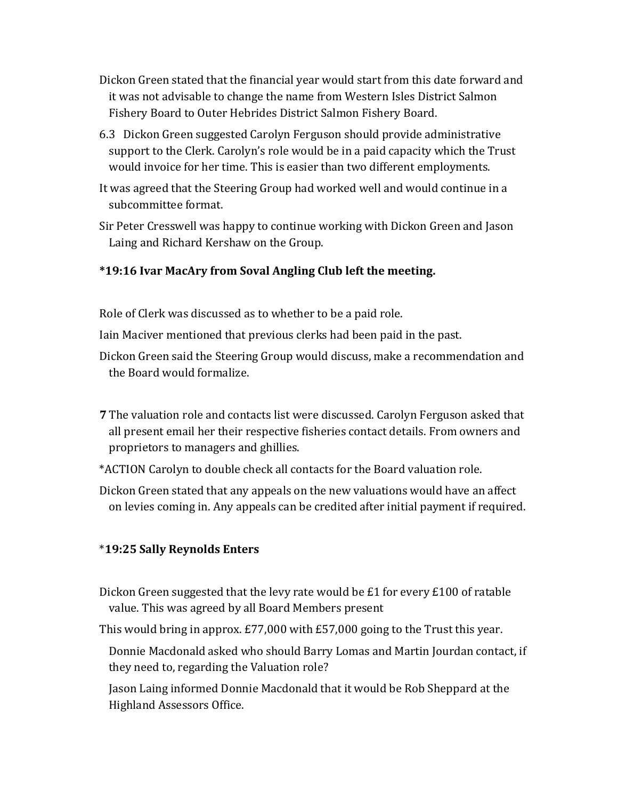- Dickon Green stated that the financial year would start from this date forward and it was not advisable to change the name from Western Isles District Salmon Fishery Board to Outer Hebrides District Salmon Fishery Board.
- 6.3 Dickon Green suggested Carolyn Ferguson should provide administrative support to the Clerk. Carolyn's role would be in a paid capacity which the Trust would invoice for her time. This is easier than two different employments.
- It was agreed that the Steering Group had worked well and would continue in a subcommittee format.
- Sir Peter Cresswell was happy to continue working with Dickon Green and Jason Laing and Richard Kershaw on the Group.

## **\*19:16 Ivar MacAry from Soval Angling Club left the meeting.**

Role of Clerk was discussed as to whether to be a paid role.

Iain Maciver mentioned that previous clerks had been paid in the past.

- Dickon Green said the Steering Group would discuss, make a recommendation and the Board would formalize.
- **7** The valuation role and contacts list were discussed. Carolyn Ferguson asked that all present email her their respective fisheries contact details. From owners and proprietors to managers and ghillies.
- \*ACTION Carolyn to double check all contacts for the Board valuation role.
- Dickon Green stated that any appeals on the new valuations would have an affect on levies coming in. Any appeals can be credited after initial payment if required.

## \***19:25 Sally Reynolds Enters**

- Dickon Green suggested that the levy rate would be £1 for every £100 of ratable value. This was agreed by all Board Members present
- This would bring in approx. £77,000 with £57,000 going to the Trust this year.
	- Donnie Macdonald asked who should Barry Lomas and Martin Jourdan contact, if they need to, regarding the Valuation role?

Jason Laing informed Donnie Macdonald that it would be Rob Sheppard at the Highland Assessors Office.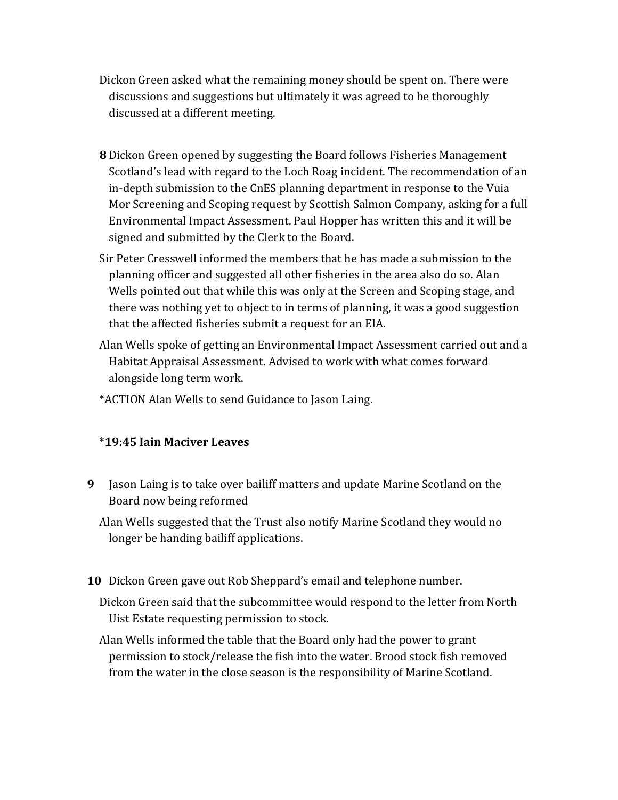- Dickon Green asked what the remaining money should be spent on. There were discussions and suggestions but ultimately it was agreed to be thoroughly discussed at a different meeting.
- **8** Dickon Green opened by suggesting the Board follows Fisheries Management Scotland's lead with regard to the Loch Roag incident. The recommendation of an in-depth submission to the CnES planning department in response to the Vuia Mor Screening and Scoping request by Scottish Salmon Company, asking for a full Environmental Impact Assessment. Paul Hopper has written this and it will be signed and submitted by the Clerk to the Board.
- Sir Peter Cresswell informed the members that he has made a submission to the planning officer and suggested all other fisheries in the area also do so. Alan Wells pointed out that while this was only at the Screen and Scoping stage, and there was nothing yet to object to in terms of planning, it was a good suggestion that the affected fisheries submit a request for an EIA.
- Alan Wells spoke of getting an Environmental Impact Assessment carried out and a Habitat Appraisal Assessment. Advised to work with what comes forward alongside long term work.
- \*ACTION Alan Wells to send Guidance to Jason Laing.

## \***19:45 Iain Maciver Leaves**

**9** Jason Laing is to take over bailiff matters and update Marine Scotland on the Board now being reformed

Alan Wells suggested that the Trust also notify Marine Scotland they would no longer be handing bailiff applications.

**10** Dickon Green gave out Rob Sheppard's email and telephone number.

Dickon Green said that the subcommittee would respond to the letter from North Uist Estate requesting permission to stock.

Alan Wells informed the table that the Board only had the power to grant permission to stock/release the fish into the water. Brood stock fish removed from the water in the close season is the responsibility of Marine Scotland.